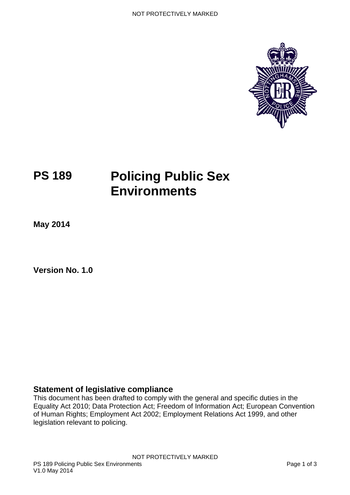

# **PS 189 Policing Public Sex Environments**

**May 2014**

**Version No. 1.0** 

#### <span id="page-0-0"></span>**Statement of legislative compliance**

This document has been drafted to comply with the general and specific duties in the Equality Act 2010; Data Protection Act; Freedom of Information Act; European Convention of Human Rights; Employment Act 2002; Employment Relations Act 1999, and other legislation relevant to policing.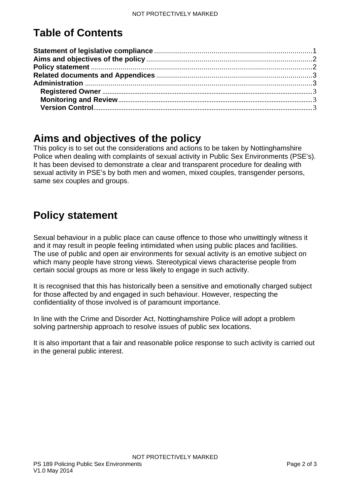# **Table of Contents**

#### <span id="page-1-0"></span>**Aims and objectives of the policy**

This policy is to set out the considerations and actions to be taken by Nottinghamshire Police when dealing with complaints of sexual activity in Public Sex Environments (PSE's). It has been devised to demonstrate a clear and transparent procedure for dealing with sexual activity in PSE's by both men and women, mixed couples, transgender persons, same sex couples and groups.

## <span id="page-1-1"></span>**Policy statement**

Sexual behaviour in a public place can cause offence to those who unwittingly witness it and it may result in people feeling intimidated when using public places and facilities. The use of public and open air environments for sexual activity is an emotive subject on which many people have strong views. Stereotypical views characterise people from certain social groups as more or less likely to engage in such activity.

It is recognised that this has historically been a sensitive and emotionally charged subject for those affected by and engaged in such behaviour. However, respecting the confidentiality of those involved is of paramount importance.

In line with the Crime and Disorder Act, Nottinghamshire Police will adopt a problem solving partnership approach to resolve issues of public sex locations.

It is also important that a fair and reasonable police response to such activity is carried out in the general public interest.